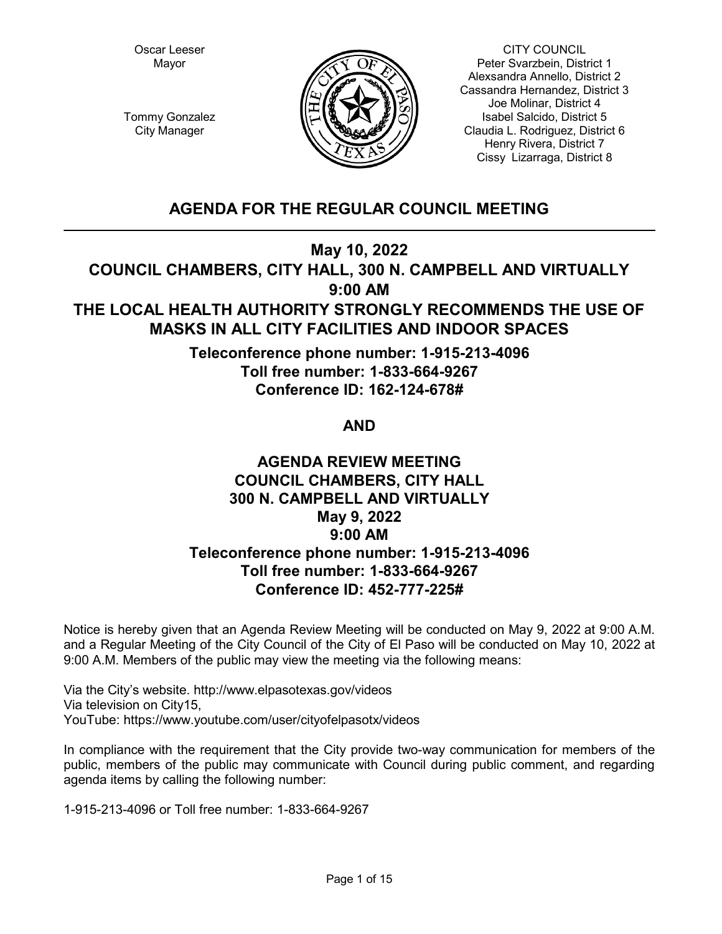Oscar Leeser Mayor



CITY COUNCIL Peter Svarzbein, District 1 Alexsandra Annello, District 2 Cassandra Hernandez, District 3 Joe Molinar, District 4 Isabel Salcido, District 5 Claudia L. Rodriguez, District 6 Henry Rivera, District 7 Cissy Lizarraga, District 8

Tommy Gonzalez City Manager

# **AGENDA FOR THE REGULAR COUNCIL MEETING**

**May 10, 2022**

**COUNCIL CHAMBERS, CITY HALL, 300 N. CAMPBELL AND VIRTUALLY 9:00 AM**

# **THE LOCAL HEALTH AUTHORITY STRONGLY RECOMMENDS THE USE OF MASKS IN ALL CITY FACILITIES AND INDOOR SPACES**

**Teleconference phone number: 1-915-213-4096 Toll free number: 1-833-664-9267 Conference ID: 162-124-678#**

**AND**

# **AGENDA REVIEW MEETING COUNCIL CHAMBERS, CITY HALL 300 N. CAMPBELL AND VIRTUALLY May 9, 2022 9:00 AM Teleconference phone number: 1-915-213-4096 Toll free number: 1-833-664-9267 Conference ID: 452-777-225#**

Notice is hereby given that an Agenda Review Meeting will be conducted on May 9, 2022 at 9:00 A.M. and a Regular Meeting of the City Council of the City of El Paso will be conducted on May 10, 2022 at 9:00 A.M. Members of the public may view the meeting via the following means:

Via the City's website. http://www.elpasotexas.gov/videos Via television on City15, YouTube: https://www.youtube.com/user/cityofelpasotx/videos

In compliance with the requirement that the City provide two-way communication for members of the public, members of the public may communicate with Council during public comment, and regarding agenda items by calling the following number:

1-915-213-4096 or Toll free number: 1-833-664-9267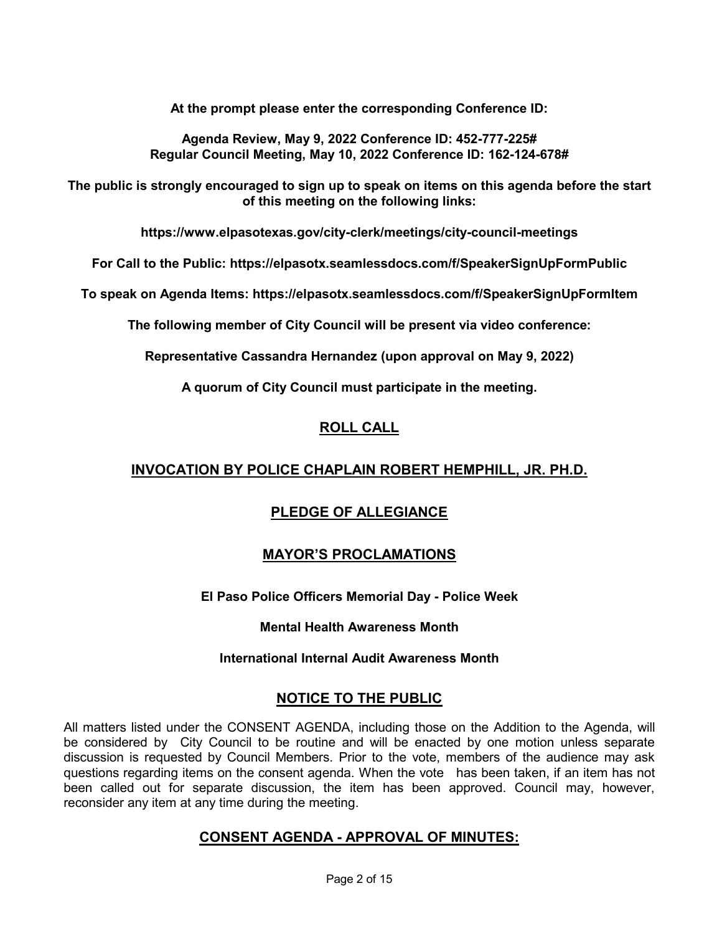**At the prompt please enter the corresponding Conference ID:** 

**Agenda Review, May 9, 2022 Conference ID: 452-777-225# Regular Council Meeting, May 10, 2022 Conference ID: 162-124-678#**

**The public is strongly encouraged to sign up to speak on items on this agenda before the start of this meeting on the following links:**

**https://www.elpasotexas.gov/city-clerk/meetings/city-council-meetings**

**For Call to the Public: https://elpasotx.seamlessdocs.com/f/SpeakerSignUpFormPublic**

**To speak on Agenda Items: https://elpasotx.seamlessdocs.com/f/SpeakerSignUpFormItem**

**The following member of City Council will be present via video conference:**

**Representative Cassandra Hernandez (upon approval on May 9, 2022)** 

**A quorum of City Council must participate in the meeting.**

## **ROLL CALL**

## **INVOCATION BY POLICE CHAPLAIN ROBERT HEMPHILL, JR. PH.D.**

## **PLEDGE OF ALLEGIANCE**

## **MAYOR'S PROCLAMATIONS**

**El Paso Police Officers Memorial Day - Police Week**

**Mental Health Awareness Month**

**International Internal Audit Awareness Month**

## **NOTICE TO THE PUBLIC**

All matters listed under the CONSENT AGENDA, including those on the Addition to the Agenda, will be considered by City Council to be routine and will be enacted by one motion unless separate discussion is requested by Council Members. Prior to the vote, members of the audience may ask questions regarding items on the consent agenda. When the vote has been taken, if an item has not been called out for separate discussion, the item has been approved. Council may, however, reconsider any item at any time during the meeting.

## **CONSENT AGENDA - APPROVAL OF MINUTES:**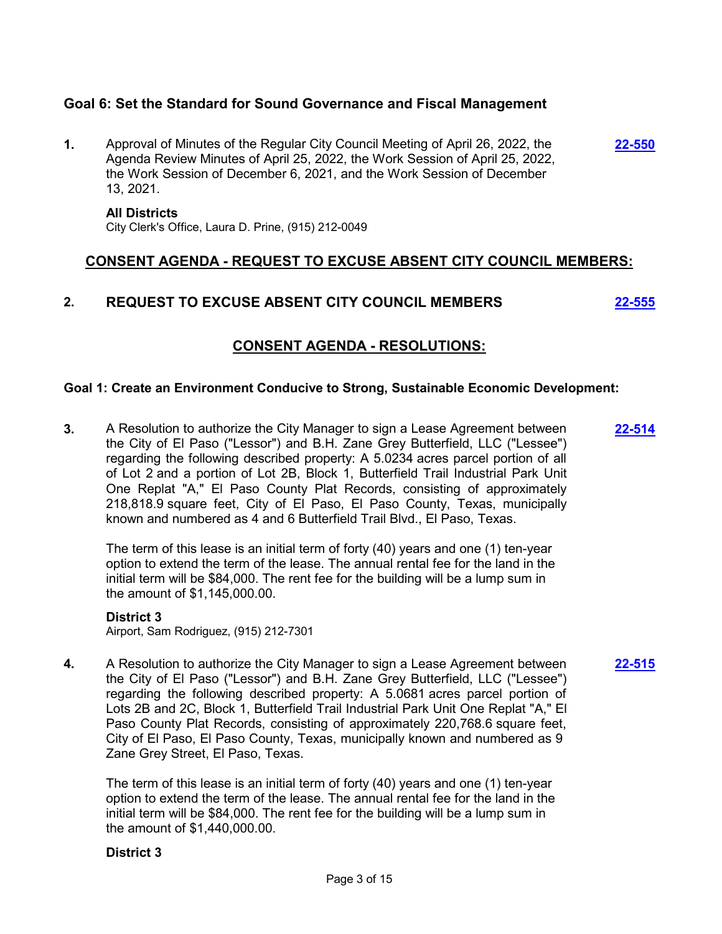## **Goal 6: Set the Standard for Sound Governance and Fiscal Management**

**1.** Approval of Minutes of the Regular City Council Meeting of April 26, 2022, the Agenda Review Minutes of April 25, 2022, the Work Session of April 25, 2022, the Work Session of December 6, 2021, and the Work Session of December 13, 2021. **[22-550](http://elpasotexas.legistar.com/gateway.aspx?m=l&id=/matter.aspx?key=7014)**

## **All Districts**

City Clerk's Office, Laura D. Prine, (915) 212-0049

## **CONSENT AGENDA - REQUEST TO EXCUSE ABSENT CITY COUNCIL MEMBERS:**

## **2. REQUEST TO EXCUSE ABSENT CITY COUNCIL MEMBERS [22-555](http://elpasotexas.legistar.com/gateway.aspx?m=l&id=/matter.aspx?key=7019)**

## **CONSENT AGENDA - RESOLUTIONS:**

## **Goal 1: Create an Environment Conducive to Strong, Sustainable Economic Development:**

**3.** A Resolution to authorize the City Manager to sign a Lease Agreement between the City of El Paso ("Lessor") and B.H. Zane Grey Butterfield, LLC ("Lessee") regarding the following described property: A 5.0234 acres parcel portion of all of Lot 2 and a portion of Lot 2B, Block 1, Butterfield Trail Industrial Park Unit One Replat "A," El Paso County Plat Records, consisting of approximately 218,818.9 square feet, City of El Paso, El Paso County, Texas, municipally known and numbered as 4 and 6 Butterfield Trail Blvd., El Paso, Texas. **[22-514](http://elpasotexas.legistar.com/gateway.aspx?m=l&id=/matter.aspx?key=6978)**

The term of this lease is an initial term of forty (40) years and one (1) ten-year option to extend the term of the lease. The annual rental fee for the land in the initial term will be \$84,000. The rent fee for the building will be a lump sum in the amount of \$1,145,000.00.

## **District 3**

Airport, Sam Rodriguez, (915) 212-7301

**4.** A Resolution to authorize the City Manager to sign a Lease Agreement between the City of El Paso ("Lessor") and B.H. Zane Grey Butterfield, LLC ("Lessee") regarding the following described property: A 5.0681 acres parcel portion of Lots 2B and 2C, Block 1, Butterfield Trail Industrial Park Unit One Replat "A," El Paso County Plat Records, consisting of approximately 220,768.6 square feet, City of El Paso, El Paso County, Texas, municipally known and numbered as 9 Zane Grey Street, El Paso, Texas.

**[22-515](http://elpasotexas.legistar.com/gateway.aspx?m=l&id=/matter.aspx?key=6979)**

The term of this lease is an initial term of forty (40) years and one (1) ten-year option to extend the term of the lease. The annual rental fee for the land in the initial term will be \$84,000. The rent fee for the building will be a lump sum in the amount of \$1,440,000.00.

## **District 3**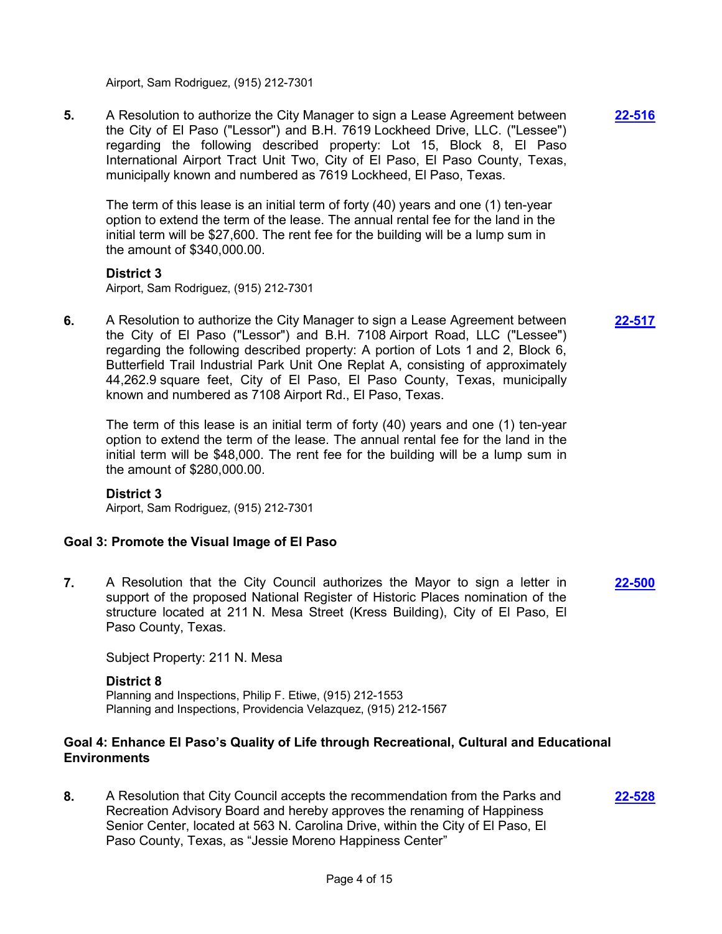Airport, Sam Rodriguez, (915) 212-7301

**5.** A Resolution to authorize the City Manager to sign a Lease Agreement between the City of El Paso ("Lessor") and B.H. 7619 Lockheed Drive, LLC. ("Lessee") regarding the following described property: Lot 15, Block 8, El Paso International Airport Tract Unit Two, City of El Paso, El Paso County, Texas, municipally known and numbered as 7619 Lockheed, El Paso, Texas. **[22-516](http://elpasotexas.legistar.com/gateway.aspx?m=l&id=/matter.aspx?key=6980)**

The term of this lease is an initial term of forty (40) years and one (1) ten-year option to extend the term of the lease. The annual rental fee for the land in the initial term will be \$27,600. The rent fee for the building will be a lump sum in the amount of \$340,000.00.

## **District 3**

Airport, Sam Rodriguez, (915) 212-7301

**6.** A Resolution to authorize the City Manager to sign a Lease Agreement between the City of El Paso ("Lessor") and B.H. 7108 Airport Road, LLC ("Lessee") regarding the following described property: A portion of Lots 1 and 2, Block 6, Butterfield Trail Industrial Park Unit One Replat A, consisting of approximately 44,262.9 square feet, City of El Paso, El Paso County, Texas, municipally known and numbered as 7108 Airport Rd., El Paso, Texas.

The term of this lease is an initial term of forty (40) years and one (1) ten-year option to extend the term of the lease. The annual rental fee for the land in the initial term will be \$48,000. The rent fee for the building will be a lump sum in the amount of \$280,000.00.

## **District 3**

Airport, Sam Rodriguez, (915) 212-7301

## **Goal 3: Promote the Visual Image of El Paso**

**7.** A Resolution that the City Council authorizes the Mayor to sign a letter in support of the proposed National Register of Historic Places nomination of the structure located at 211 N. Mesa Street (Kress Building), City of El Paso, El Paso County, Texas. **[22-500](http://elpasotexas.legistar.com/gateway.aspx?m=l&id=/matter.aspx?key=6964)**

Subject Property: 211 N. Mesa

#### **District 8**

Planning and Inspections, Philip F. Etiwe, (915) 212-1553 Planning and Inspections, Providencia Velazquez, (915) 212-1567

## **Goal 4: Enhance El Paso's Quality of Life through Recreational, Cultural and Educational Environments**

**8.** A Resolution that City Council accepts the recommendation from the Parks and Recreation Advisory Board and hereby approves the renaming of Happiness Senior Center, located at 563 N. Carolina Drive, within the City of El Paso, El Paso County, Texas, as "Jessie Moreno Happiness Center"

**[22-528](http://elpasotexas.legistar.com/gateway.aspx?m=l&id=/matter.aspx?key=6992)**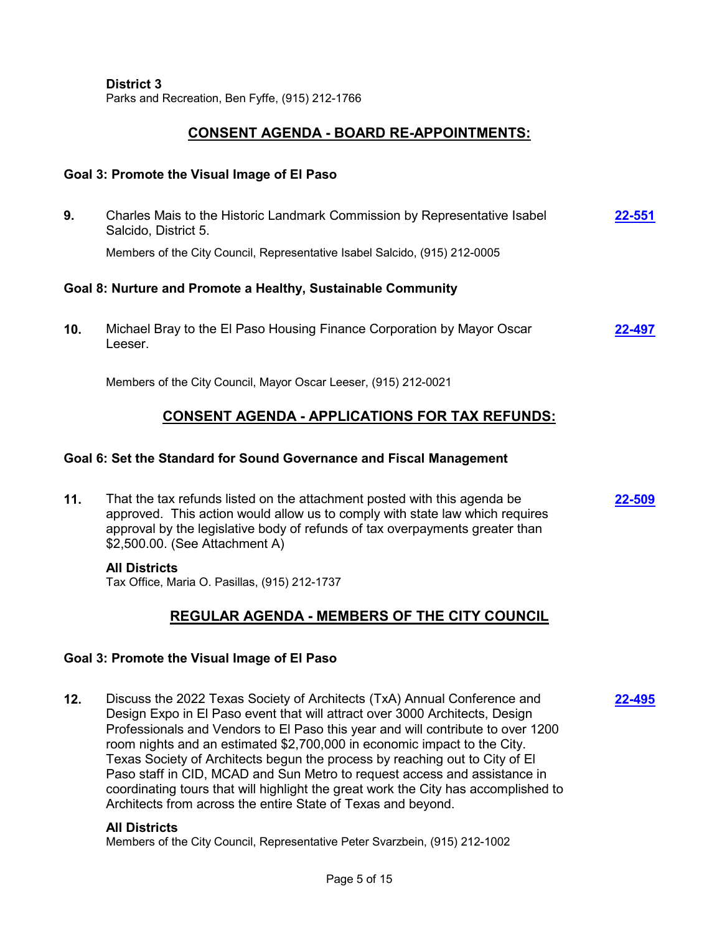#### **District 3**

Parks and Recreation, Ben Fyffe, (915) 212-1766

## **CONSENT AGENDA - BOARD RE-APPOINTMENTS:**

## **Goal 3: Promote the Visual Image of El Paso**

| 9.                                                           | Charles Mais to the Historic Landmark Commission by Representative Isabel<br>Salcido, District 5. | 22-551 |  |  |
|--------------------------------------------------------------|---------------------------------------------------------------------------------------------------|--------|--|--|
|                                                              | Members of the City Council, Representative Isabel Salcido, (915) 212-0005                        |        |  |  |
| Goal 8: Nurture and Promote a Healthy, Sustainable Community |                                                                                                   |        |  |  |
| 10.                                                          | Michael Bray to the El Paso Housing Finance Corporation by Mayor Oscar<br>Leeser.                 | 22-497 |  |  |

Members of the City Council, Mayor Oscar Leeser, (915) 212-0021

## **CONSENT AGENDA - APPLICATIONS FOR TAX REFUNDS:**

## **Goal 6: Set the Standard for Sound Governance and Fiscal Management**

**11.** That the tax refunds listed on the attachment posted with this agenda be approved. This action would allow us to comply with state law which requires approval by the legislative body of refunds of tax overpayments greater than \$2,500.00. (See Attachment A) **[22-509](http://elpasotexas.legistar.com/gateway.aspx?m=l&id=/matter.aspx?key=6973)**

## **All Districts**

Tax Office, Maria O. Pasillas, (915) 212-1737

## **REGULAR AGENDA - MEMBERS OF THE CITY COUNCIL**

**[22-495](http://elpasotexas.legistar.com/gateway.aspx?m=l&id=/matter.aspx?key=6959)**

## **Goal 3: Promote the Visual Image of El Paso**

**12.** Discuss the 2022 Texas Society of Architects (TxA) Annual Conference and Design Expo in El Paso event that will attract over 3000 Architects, Design Professionals and Vendors to El Paso this year and will contribute to over 1200 room nights and an estimated \$2,700,000 in economic impact to the City. Texas Society of Architects begun the process by reaching out to City of El Paso staff in CID, MCAD and Sun Metro to request access and assistance in coordinating tours that will highlight the great work the City has accomplished to Architects from across the entire State of Texas and beyond.

## **All Districts**

Members of the City Council, Representative Peter Svarzbein, (915) 212-1002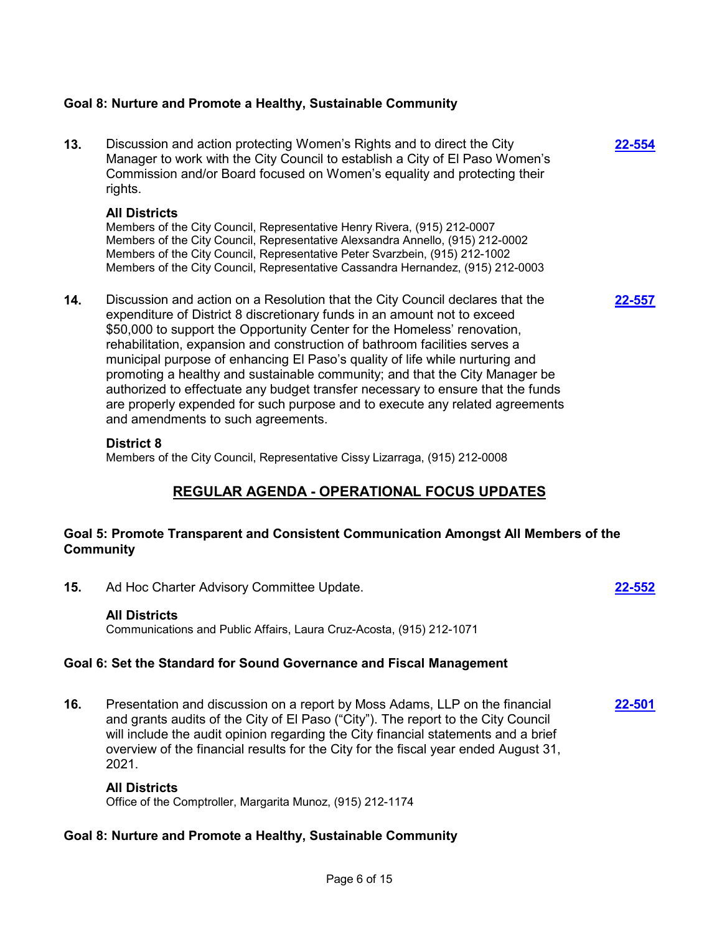## **Goal 8: Nurture and Promote a Healthy, Sustainable Community**

**13.** Discussion and action protecting Women's Rights and to direct the City Manager to work with the City Council to establish a City of El Paso Women's Commission and/or Board focused on Women's equality and protecting their rights.

**[22-554](http://elpasotexas.legistar.com/gateway.aspx?m=l&id=/matter.aspx?key=7018)**

**[22-557](http://elpasotexas.legistar.com/gateway.aspx?m=l&id=/matter.aspx?key=7021)**

## **All Districts**

Members of the City Council, Representative Henry Rivera, (915) 212-0007 Members of the City Council, Representative Alexsandra Annello, (915) 212-0002 Members of the City Council, Representative Peter Svarzbein, (915) 212-1002 Members of the City Council, Representative Cassandra Hernandez, (915) 212-0003

**14.** Discussion and action on a Resolution that the City Council declares that the expenditure of District 8 discretionary funds in an amount not to exceed \$50,000 to support the Opportunity Center for the Homeless' renovation, rehabilitation, expansion and construction of bathroom facilities serves a municipal purpose of enhancing El Paso's quality of life while nurturing and promoting a healthy and sustainable community; and that the City Manager be authorized to effectuate any budget transfer necessary to ensure that the funds are properly expended for such purpose and to execute any related agreements and amendments to such agreements.

## **District 8**

Members of the City Council, Representative Cissy Lizarraga, (915) 212-0008

## **REGULAR AGENDA - OPERATIONAL FOCUS UPDATES**

## **Goal 5: Promote Transparent and Consistent Communication Amongst All Members of the Community**

**15.** Ad Hoc Charter Advisory Committee Update. **[22-552](http://elpasotexas.legistar.com/gateway.aspx?m=l&id=/matter.aspx?key=7016)**

## **All Districts**

Communications and Public Affairs, Laura Cruz-Acosta, (915) 212-1071

## **Goal 6: Set the Standard for Sound Governance and Fiscal Management**

**16.** Presentation and discussion on a report by Moss Adams, LLP on the financial and grants audits of the City of El Paso ("City"). The report to the City Council will include the audit opinion regarding the City financial statements and a brief overview of the financial results for the City for the fiscal year ended August 31, 2021. **[22-501](http://elpasotexas.legistar.com/gateway.aspx?m=l&id=/matter.aspx?key=6965)**

## **All Districts**

Office of the Comptroller, Margarita Munoz, (915) 212-1174

## **Goal 8: Nurture and Promote a Healthy, Sustainable Community**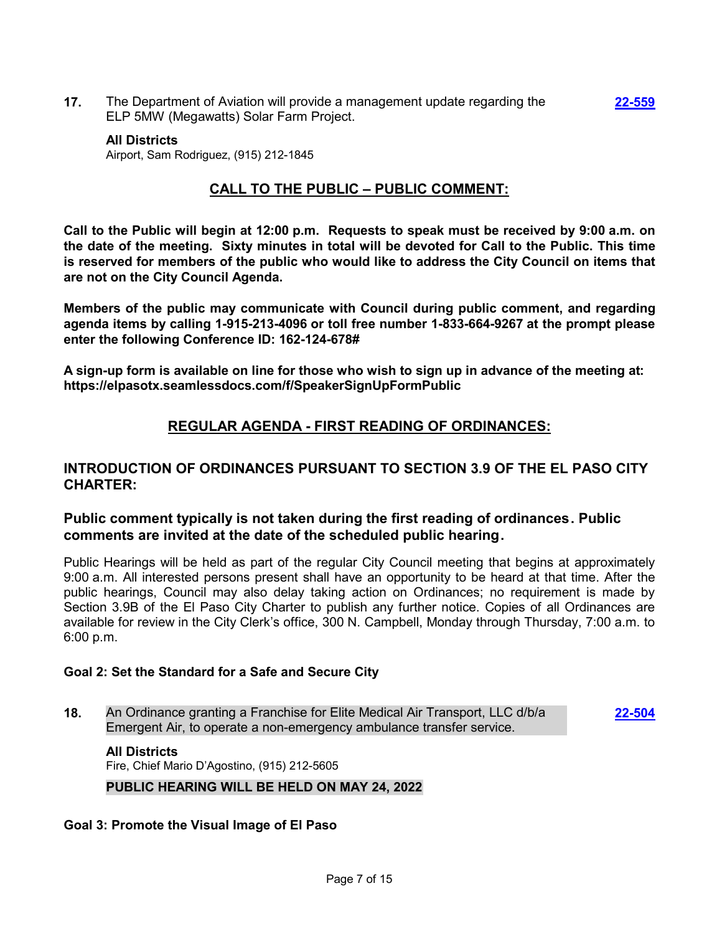**17.** The Department of Aviation will provide a management update regarding the ELP 5MW (Megawatts) Solar Farm Project.

#### **All Districts**

Airport, Sam Rodriguez, (915) 212-1845

## **CALL TO THE PUBLIC – PUBLIC COMMENT:**

**Call to the Public will begin at 12:00 p.m. Requests to speak must be received by 9:00 a.m. on the date of the meeting. Sixty minutes in total will be devoted for Call to the Public. This time is reserved for members of the public who would like to address the City Council on items that are not on the City Council Agenda.**

**Members of the public may communicate with Council during public comment, and regarding agenda items by calling 1-915-213-4096 or toll free number 1-833-664-9267 at the prompt please enter the following Conference ID: 162-124-678#**

**A sign-up form is available on line for those who wish to sign up in advance of the meeting at: https://elpasotx.seamlessdocs.com/f/SpeakerSignUpFormPublic**

## **REGULAR AGENDA - FIRST READING OF ORDINANCES:**

## **INTRODUCTION OF ORDINANCES PURSUANT TO SECTION 3.9 OF THE EL PASO CITY CHARTER:**

## **Public comment typically is not taken during the first reading of ordinances. Public comments are invited at the date of the scheduled public hearing.**

Public Hearings will be held as part of the regular City Council meeting that begins at approximately 9:00 a.m. All interested persons present shall have an opportunity to be heard at that time. After the public hearings, Council may also delay taking action on Ordinances; no requirement is made by Section 3.9B of the El Paso City Charter to publish any further notice. Copies of all Ordinances are available for review in the City Clerk's office, 300 N. Campbell, Monday through Thursday, 7:00 a.m. to 6:00 p.m.

## **Goal 2: Set the Standard for a Safe and Secure City**

**18.** An Ordinance granting a Franchise for Elite Medical Air Transport, LLC d/b/a Emergent Air, to operate a non-emergency ambulance transfer service.

**[22-504](http://elpasotexas.legistar.com/gateway.aspx?m=l&id=/matter.aspx?key=6968)**

#### **All Districts**

Fire, Chief Mario D'Agostino, (915) 212-5605

## **PUBLIC HEARING WILL BE HELD ON MAY 24, 2022**

## **Goal 3: Promote the Visual Image of El Paso**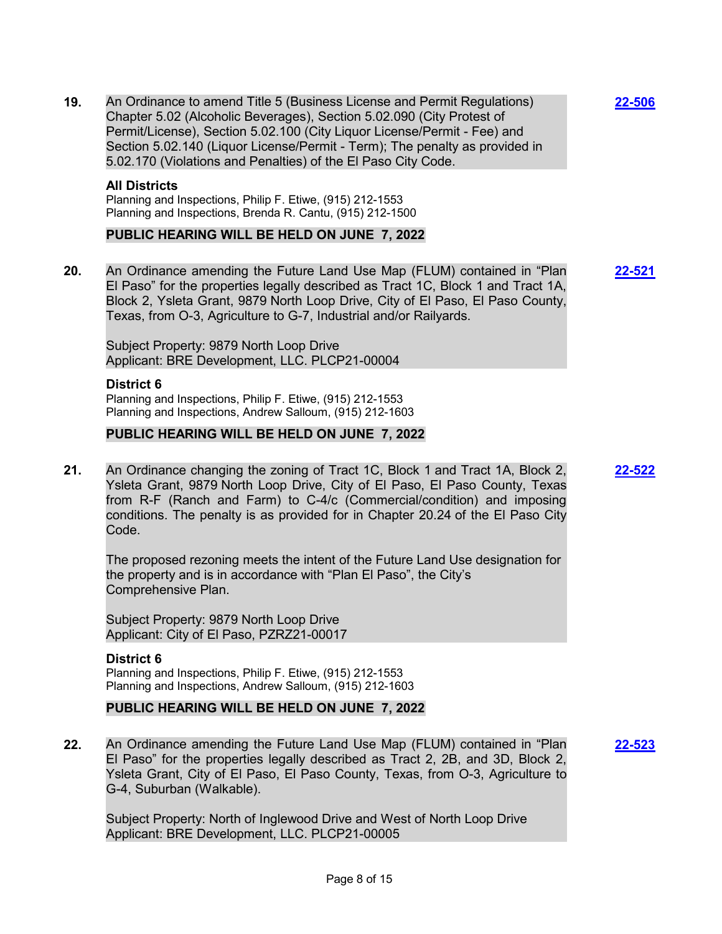**19.** An Ordinance to amend Title 5 (Business License and Permit Regulations) Chapter 5.02 (Alcoholic Beverages), Section 5.02.090 (City Protest of Permit/License), Section 5.02.100 (City Liquor License/Permit - Fee) and Section 5.02.140 (Liquor License/Permit - Term); The penalty as provided in 5.02.170 (Violations and Penalties) of the El Paso City Code.

#### **All Districts**

Planning and Inspections, Philip F. Etiwe, (915) 212-1553 Planning and Inspections, Brenda R. Cantu, (915) 212-1500

## **PUBLIC HEARING WILL BE HELD ON JUNE 7, 2022**

**20.** An Ordinance amending the Future Land Use Map (FLUM) contained in "Plan El Paso" for the properties legally described as Tract 1C, Block 1 and Tract 1A, Block 2, Ysleta Grant, 9879 North Loop Drive, City of El Paso, El Paso County, Texas, from O-3, Agriculture to G-7, Industrial and/or Railyards. **[22-521](http://elpasotexas.legistar.com/gateway.aspx?m=l&id=/matter.aspx?key=6985)**

Subject Property: 9879 North Loop Drive Applicant: BRE Development, LLC. PLCP21-00004

#### **District 6**

Planning and Inspections, Philip F. Etiwe, (915) 212-1553 Planning and Inspections, Andrew Salloum, (915) 212-1603

## **PUBLIC HEARING WILL BE HELD ON JUNE 7, 2022**

**21.** An Ordinance changing the zoning of Tract 1C, Block 1 and Tract 1A, Block 2, Ysleta Grant, 9879 North Loop Drive, City of El Paso, El Paso County, Texas from R-F (Ranch and Farm) to C-4/c (Commercial/condition) and imposing conditions. The penalty is as provided for in Chapter 20.24 of the El Paso City Code.

The proposed rezoning meets the intent of the Future Land Use designation for the property and is in accordance with "Plan El Paso", the City's Comprehensive Plan.

Subject Property: 9879 North Loop Drive Applicant: City of El Paso, PZRZ21-00017

**District 6** Planning and Inspections, Philip F. Etiwe, (915) 212-1553 Planning and Inspections, Andrew Salloum, (915) 212-1603

## **PUBLIC HEARING WILL BE HELD ON JUNE 7, 2022**

**22.** An Ordinance amending the Future Land Use Map (FLUM) contained in "Plan El Paso" for the properties legally described as Tract 2, 2B, and 3D, Block 2, Ysleta Grant, City of El Paso, El Paso County, Texas, from O-3, Agriculture to G-4, Suburban (Walkable).

Subject Property: North of Inglewood Drive and West of North Loop Drive Applicant: BRE Development, LLC. PLCP21-00005

**[22-506](http://elpasotexas.legistar.com/gateway.aspx?m=l&id=/matter.aspx?key=6970)**

**[22-522](http://elpasotexas.legistar.com/gateway.aspx?m=l&id=/matter.aspx?key=6986)**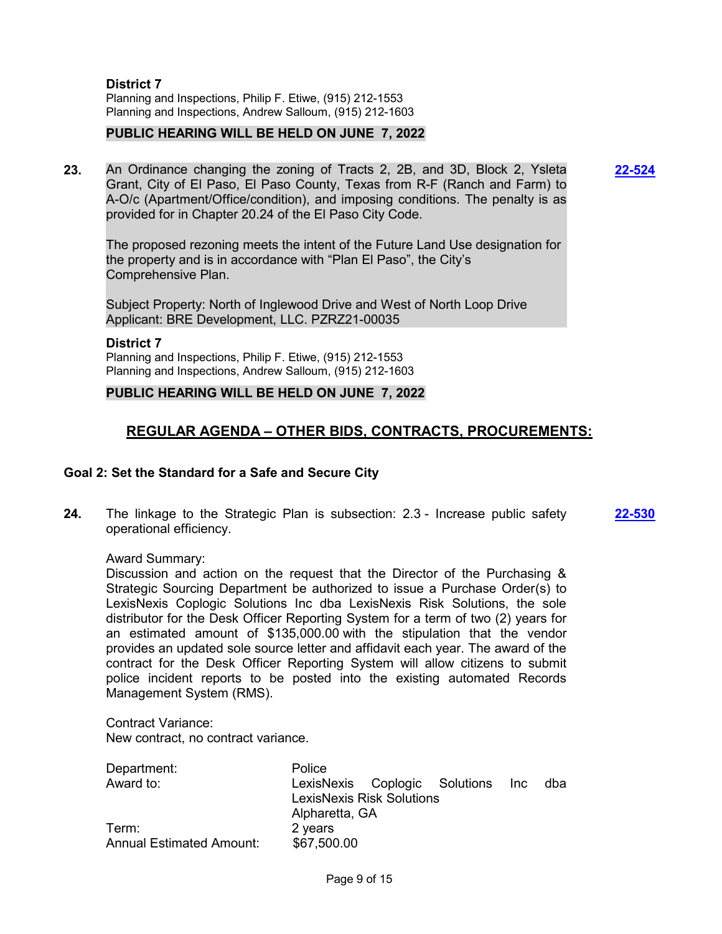**District 7** Planning and Inspections, Philip F. Etiwe, (915) 212-1553 Planning and Inspections, Andrew Salloum, (915) 212-1603

## **PUBLIC HEARING WILL BE HELD ON JUNE 7, 2022**

**23.** An Ordinance changing the zoning of Tracts 2, 2B, and 3D, Block 2, Ysleta Grant, City of El Paso, El Paso County, Texas from R-F (Ranch and Farm) to A-O/c (Apartment/Office/condition), and imposing conditions. The penalty is as provided for in Chapter 20.24 of the El Paso City Code.

**[22-524](http://elpasotexas.legistar.com/gateway.aspx?m=l&id=/matter.aspx?key=6988)**

The proposed rezoning meets the intent of the Future Land Use designation for the property and is in accordance with "Plan El Paso", the City's Comprehensive Plan.

Subject Property: North of Inglewood Drive and West of North Loop Drive Applicant: BRE Development, LLC. PZRZ21-00035

#### **District 7**

Planning and Inspections, Philip F. Etiwe, (915) 212-1553 Planning and Inspections, Andrew Salloum, (915) 212-1603

## **PUBLIC HEARING WILL BE HELD ON JUNE 7, 2022**

## **REGULAR AGENDA – OTHER BIDS, CONTRACTS, PROCUREMENTS:**

## **Goal 2: Set the Standard for a Safe and Secure City**

**24.** The linkage to the Strategic Plan is subsection: 2.3 - Increase public safety operational efficiency. **[22-530](http://elpasotexas.legistar.com/gateway.aspx?m=l&id=/matter.aspx?key=6994)**

Award Summary:

Discussion and action on the request that the Director of the Purchasing & Strategic Sourcing Department be authorized to issue a Purchase Order(s) to LexisNexis Coplogic Solutions Inc dba LexisNexis Risk Solutions, the sole distributor for the Desk Officer Reporting System for a term of two (2) years for an estimated amount of \$135,000.00 with the stipulation that the vendor provides an updated sole source letter and affidavit each year. The award of the contract for the Desk Officer Reporting System will allow citizens to submit police incident reports to be posted into the existing automated Records Management System (RMS).

Contract Variance: New contract, no contract variance.

| Department:                     | Police                            |  |  |  |     |
|---------------------------------|-----------------------------------|--|--|--|-----|
| Award to:                       | LexisNexis Coplogic Solutions Inc |  |  |  | dba |
|                                 | <b>LexisNexis Risk Solutions</b>  |  |  |  |     |
|                                 | Alpharetta, GA                    |  |  |  |     |
| Term:                           | 2 years                           |  |  |  |     |
| <b>Annual Estimated Amount:</b> | \$67,500.00                       |  |  |  |     |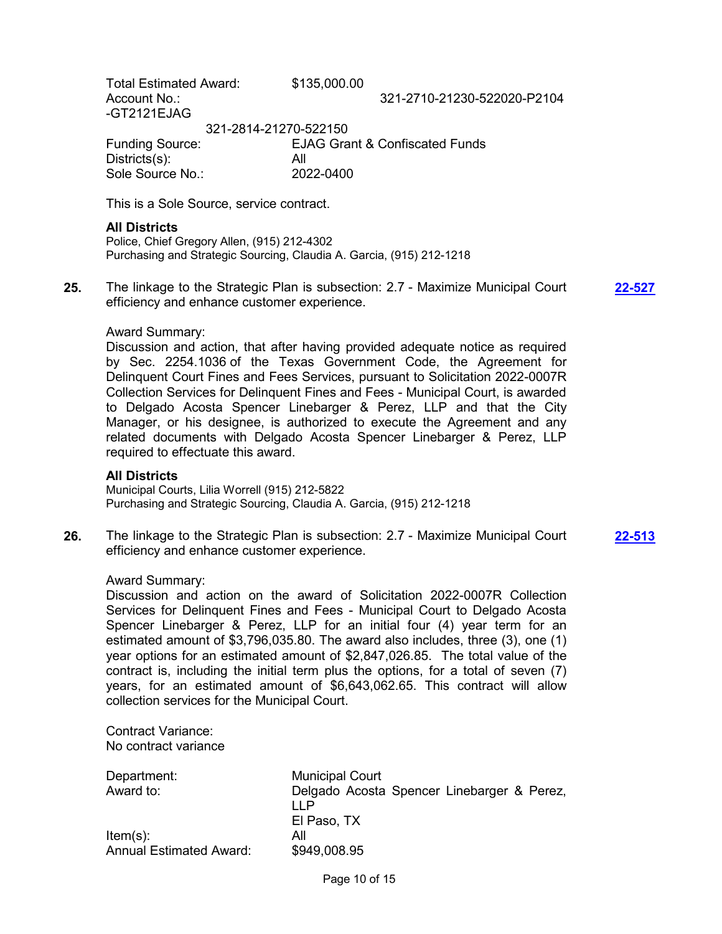Total Estimated Award: \$135,000.00 Account No.: 321-2710-21230-522020-P2104 -GT2121EJAG 321-2814-21270-522150 Funding Source: EJAG Grant & Confiscated Funds Districts(s): All

This is a Sole Source, service contract.

Sole Source No.: 2022-0400

### **All Districts**

Police, Chief Gregory Allen, (915) 212-4302 Purchasing and Strategic Sourcing, Claudia A. Garcia, (915) 212-1218

**25.** The linkage to the Strategic Plan is subsection: 2.7 - Maximize Municipal Court efficiency and enhance customer experience.

**[22-527](http://elpasotexas.legistar.com/gateway.aspx?m=l&id=/matter.aspx?key=6991)**

#### Award Summary:

Discussion and action, that after having provided adequate notice as required by Sec. 2254.1036 of the Texas Government Code, the Agreement for Delinquent Court Fines and Fees Services, pursuant to Solicitation 2022-0007R Collection Services for Delinquent Fines and Fees - Municipal Court, is awarded to Delgado Acosta Spencer Linebarger & Perez, LLP and that the City Manager, or his designee, is authorized to execute the Agreement and any related documents with Delgado Acosta Spencer Linebarger & Perez, LLP required to effectuate this award.

#### **All Districts**

Municipal Courts, Lilia Worrell (915) 212-5822 Purchasing and Strategic Sourcing, Claudia A. Garcia, (915) 212-1218

**26.** The linkage to the Strategic Plan is subsection: 2.7 - Maximize Municipal Court efficiency and enhance customer experience. **[22-513](http://elpasotexas.legistar.com/gateway.aspx?m=l&id=/matter.aspx?key=6977)**

#### Award Summary:

Discussion and action on the award of Solicitation 2022-0007R Collection Services for Delinquent Fines and Fees - Municipal Court to Delgado Acosta Spencer Linebarger & Perez, LLP for an initial four (4) year term for an estimated amount of \$3,796,035.80. The award also includes, three (3), one (1) year options for an estimated amount of \$2,847,026.85. The total value of the contract is, including the initial term plus the options, for a total of seven (7) years, for an estimated amount of \$6,643,062.65. This contract will allow collection services for the Municipal Court.

Contract Variance: No contract variance

| Department:             | <b>Municipal Court</b>                              |
|-------------------------|-----------------------------------------------------|
| Award to:               | Delgado Acosta Spencer Linebarger & Perez,<br>I I P |
|                         | El Paso, TX                                         |
| ltem(s):                | All                                                 |
| Annual Estimated Award: | \$949,008.95                                        |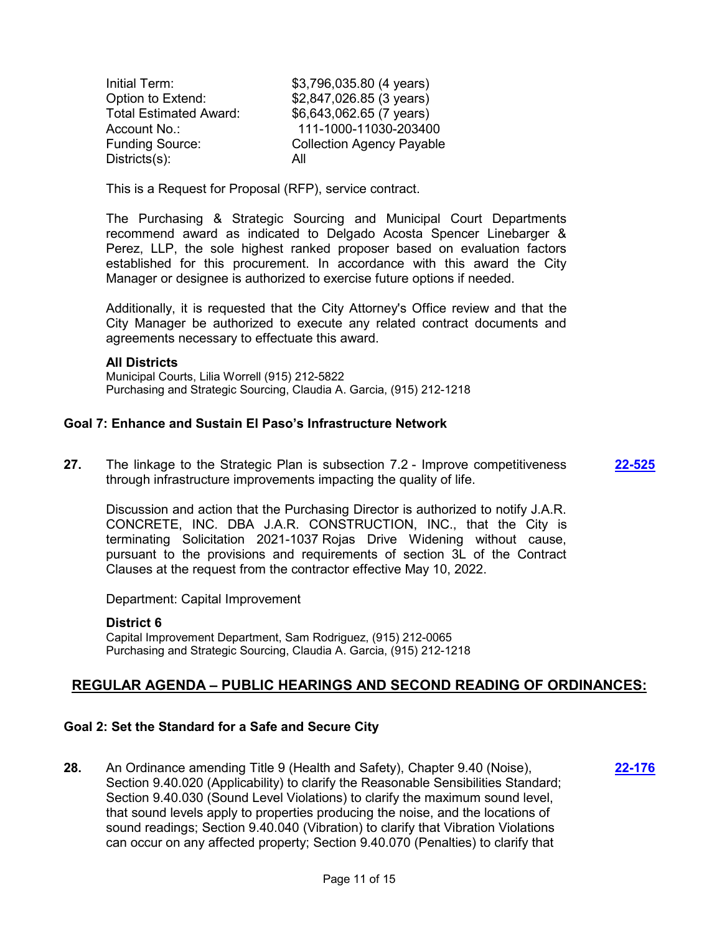| Initial Term:                 | \$3,796,035.80 (4 years)         |
|-------------------------------|----------------------------------|
| Option to Extend:             | \$2,847,026.85 (3 years)         |
| <b>Total Estimated Award:</b> | \$6,643,062.65 (7 years)         |
| Account No.:                  | 111-1000-11030-203400            |
| <b>Funding Source:</b>        | <b>Collection Agency Payable</b> |
| Disticts(s):                  | All                              |

This is a Request for Proposal (RFP), service contract.

The Purchasing & Strategic Sourcing and Municipal Court Departments recommend award as indicated to Delgado Acosta Spencer Linebarger & Perez, LLP, the sole highest ranked proposer based on evaluation factors established for this procurement. In accordance with this award the City Manager or designee is authorized to exercise future options if needed.

Additionally, it is requested that the City Attorney's Office review and that the City Manager be authorized to execute any related contract documents and agreements necessary to effectuate this award.

## **All Districts**

Municipal Courts, Lilia Worrell (915) 212-5822 Purchasing and Strategic Sourcing, Claudia A. Garcia, (915) 212-1218

## **Goal 7: Enhance and Sustain El Paso's Infrastructure Network**

**27.** The linkage to the Strategic Plan is subsection 7.2 - Improve competitiveness through infrastructure improvements impacting the quality of life. **[22-525](http://elpasotexas.legistar.com/gateway.aspx?m=l&id=/matter.aspx?key=6989)**

Discussion and action that the Purchasing Director is authorized to notify J.A.R. CONCRETE, INC. DBA J.A.R. CONSTRUCTION, INC., that the City is terminating Solicitation 2021-1037 Rojas Drive Widening without cause, pursuant to the provisions and requirements of section 3L of the Contract Clauses at the request from the contractor effective May 10, 2022.

Department: Capital Improvement

## **District 6**

Capital Improvement Department, Sam Rodriguez, (915) 212-0065 Purchasing and Strategic Sourcing, Claudia A. Garcia, (915) 212-1218

## **REGULAR AGENDA – PUBLIC HEARINGS AND SECOND READING OF ORDINANCES:**

## **Goal 2: Set the Standard for a Safe and Secure City**

**28.** An Ordinance amending Title 9 (Health and Safety), Chapter 9.40 (Noise), Section 9.40.020 (Applicability) to clarify the Reasonable Sensibilities Standard; Section 9.40.030 (Sound Level Violations) to clarify the maximum sound level, that sound levels apply to properties producing the noise, and the locations of sound readings; Section 9.40.040 (Vibration) to clarify that Vibration Violations can occur on any affected property; Section 9.40.070 (Penalties) to clarify that **[22-176](http://elpasotexas.legistar.com/gateway.aspx?m=l&id=/matter.aspx?key=6640)**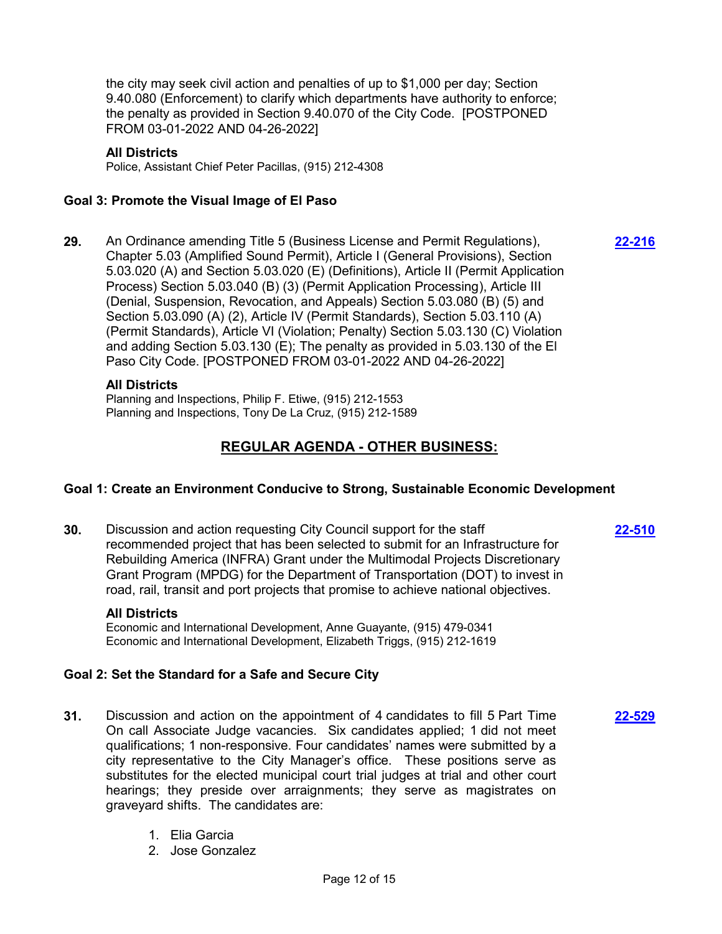the city may seek civil action and penalties of up to \$1,000 per day; Section 9.40.080 (Enforcement) to clarify which departments have authority to enforce; the penalty as provided in Section 9.40.070 of the City Code. [POSTPONED FROM 03-01-2022 AND 04-26-2022]

### **All Districts**

Police, Assistant Chief Peter Pacillas, (915) 212-4308

## **Goal 3: Promote the Visual Image of El Paso**

**29.** An Ordinance amending Title 5 (Business License and Permit Regulations), Chapter 5.03 (Amplified Sound Permit), Article I (General Provisions), Section 5.03.020 (A) and Section 5.03.020 (E) (Definitions), Article II (Permit Application Process) Section 5.03.040 (B) (3) (Permit Application Processing), Article III (Denial, Suspension, Revocation, and Appeals) Section 5.03.080 (B) (5) and Section 5.03.090 (A) (2), Article IV (Permit Standards), Section 5.03.110 (A) (Permit Standards), Article VI (Violation; Penalty) Section 5.03.130 (C) Violation and adding Section 5.03.130 (E); The penalty as provided in 5.03.130 of the El Paso City Code. [POSTPONED FROM 03-01-2022 AND 04-26-2022]

## **All Districts**

Planning and Inspections, Philip F. Etiwe, (915) 212-1553 Planning and Inspections, Tony De La Cruz, (915) 212-1589

## **REGULAR AGENDA - OTHER BUSINESS:**

## **Goal 1: Create an Environment Conducive to Strong, Sustainable Economic Development**

**30.** Discussion and action requesting City Council support for the staff recommended project that has been selected to submit for an Infrastructure for Rebuilding America (INFRA) Grant under the Multimodal Projects Discretionary Grant Program (MPDG) for the Department of Transportation (DOT) to invest in road, rail, transit and port projects that promise to achieve national objectives.

#### **All Districts**

Economic and International Development, Anne Guayante, (915) 479-0341 Economic and International Development, Elizabeth Triggs, (915) 212-1619

## **Goal 2: Set the Standard for a Safe and Secure City**

- **31.** Discussion and action on the appointment of 4 candidates to fill 5 Part Time On call Associate Judge vacancies. Six candidates applied; 1 did not meet qualifications; 1 non-responsive. Four candidates' names were submitted by a city representative to the City Manager's office. These positions serve as substitutes for the elected municipal court trial judges at trial and other court hearings; they preside over arraignments; they serve as magistrates on graveyard shifts. The candidates are:
	- 1. Elia Garcia
	- 2. Jose Gonzalez

**[22-216](http://elpasotexas.legistar.com/gateway.aspx?m=l&id=/matter.aspx?key=6680)**

**[22-529](http://elpasotexas.legistar.com/gateway.aspx?m=l&id=/matter.aspx?key=6993)**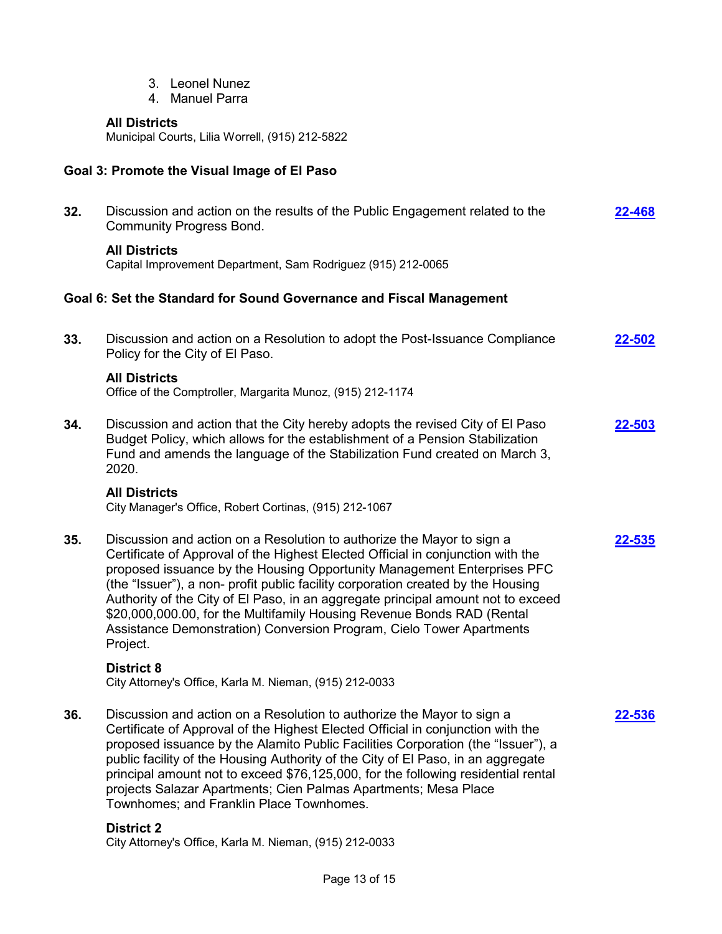- 3. Leonel Nunez
- 4. Manuel Parra

## **All Districts**

Municipal Courts, Lilia Worrell, (915) 212-5822

## **Goal 3: Promote the Visual Image of El Paso**

| 32. | Discussion and action on the results of the Public Engagement related to the<br><b>Community Progress Bond.</b>                                                                                                                                                                                                                                                                                                                                                                                                                                                            | 22-468        |
|-----|----------------------------------------------------------------------------------------------------------------------------------------------------------------------------------------------------------------------------------------------------------------------------------------------------------------------------------------------------------------------------------------------------------------------------------------------------------------------------------------------------------------------------------------------------------------------------|---------------|
|     | <b>All Districts</b><br>Capital Improvement Department, Sam Rodriguez (915) 212-0065                                                                                                                                                                                                                                                                                                                                                                                                                                                                                       |               |
|     | Goal 6: Set the Standard for Sound Governance and Fiscal Management                                                                                                                                                                                                                                                                                                                                                                                                                                                                                                        |               |
| 33. | Discussion and action on a Resolution to adopt the Post-Issuance Compliance<br>Policy for the City of El Paso.                                                                                                                                                                                                                                                                                                                                                                                                                                                             | <u>22-502</u> |
|     | <b>All Districts</b><br>Office of the Comptroller, Margarita Munoz, (915) 212-1174                                                                                                                                                                                                                                                                                                                                                                                                                                                                                         |               |
| 34. | Discussion and action that the City hereby adopts the revised City of El Paso<br>Budget Policy, which allows for the establishment of a Pension Stabilization<br>Fund and amends the language of the Stabilization Fund created on March 3,<br>2020.                                                                                                                                                                                                                                                                                                                       | 22-503        |
|     | <b>All Districts</b><br>City Manager's Office, Robert Cortinas, (915) 212-1067                                                                                                                                                                                                                                                                                                                                                                                                                                                                                             |               |
| 35. | Discussion and action on a Resolution to authorize the Mayor to sign a<br>Certificate of Approval of the Highest Elected Official in conjunction with the<br>proposed issuance by the Housing Opportunity Management Enterprises PFC<br>(the "Issuer"), a non- profit public facility corporation created by the Housing<br>Authority of the City of El Paso, in an aggregate principal amount not to exceed<br>\$20,000,000.00, for the Multifamily Housing Revenue Bonds RAD (Rental<br>Assistance Demonstration) Conversion Program, Cielo Tower Apartments<br>Project. | 22-535        |
|     | <b>District 8</b><br>City Attorney's Office, Karla M. Nieman, (915) 212-0033                                                                                                                                                                                                                                                                                                                                                                                                                                                                                               |               |
| 36. | Discussion and action on a Resolution to authorize the Mayor to sign a<br>Certificate of Approval of the Highest Elected Official in conjunction with the<br>proposed issuance by the Alamito Public Facilities Corporation (the "Issuer"), a<br>public facility of the Housing Authority of the City of El Paso, in an aggregate<br>principal amount not to exceed \$76,125,000, for the following residential rental<br>projects Salazar Apartments; Cien Palmas Apartments; Mesa Place<br>Townhomes; and Franklin Place Townhomes.                                      | <u>22-536</u> |
|     | <b>District 2</b>                                                                                                                                                                                                                                                                                                                                                                                                                                                                                                                                                          |               |

City Attorney's Office, Karla M. Nieman, (915) 212-0033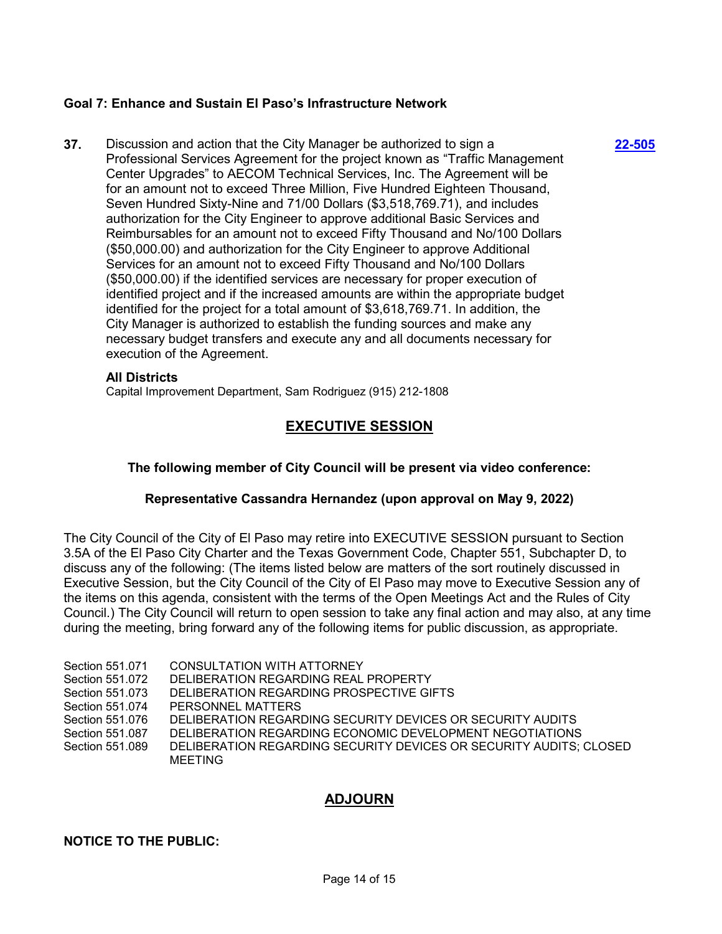## **Goal 7: Enhance and Sustain El Paso's Infrastructure Network**

**37.** Discussion and action that the City Manager be authorized to sign a Professional Services Agreement for the project known as "Traffic Management Center Upgrades" to AECOM Technical Services, Inc. The Agreement will be for an amount not to exceed Three Million, Five Hundred Eighteen Thousand, Seven Hundred Sixty-Nine and 71/00 Dollars (\$3,518,769.71), and includes authorization for the City Engineer to approve additional Basic Services and Reimbursables for an amount not to exceed Fifty Thousand and No/100 Dollars (\$50,000.00) and authorization for the City Engineer to approve Additional Services for an amount not to exceed Fifty Thousand and No/100 Dollars (\$50,000.00) if the identified services are necessary for proper execution of identified project and if the increased amounts are within the appropriate budget identified for the project for a total amount of \$3,618,769.71. In addition, the City Manager is authorized to establish the funding sources and make any necessary budget transfers and execute any and all documents necessary for execution of the Agreement.

#### **All Districts**

Capital Improvement Department, Sam Rodriguez (915) 212-1808

## **EXECUTIVE SESSION**

**[22-505](http://elpasotexas.legistar.com/gateway.aspx?m=l&id=/matter.aspx?key=6969)**

## **The following member of City Council will be present via video conference:**

## **Representative Cassandra Hernandez (upon approval on May 9, 2022)**

The City Council of the City of El Paso may retire into EXECUTIVE SESSION pursuant to Section 3.5A of the El Paso City Charter and the Texas Government Code, Chapter 551, Subchapter D, to discuss any of the following: (The items listed below are matters of the sort routinely discussed in Executive Session, but the City Council of the City of El Paso may move to Executive Session any of the items on this agenda, consistent with the terms of the Open Meetings Act and the Rules of City Council.) The City Council will return to open session to take any final action and may also, at any time during the meeting, bring forward any of the following items for public discussion, as appropriate.

- Section 551.071 CONSULTATION WITH ATTORNEY
- Section 551.072 DELIBERATION REGARDING REAL PROPERTY
- Section 551.073 DELIBERATION REGARDING PROSPECTIVE GIFTS
- Section 551.074 PERSONNEL MATTERS
- Section 551.076 DELIBERATION REGARDING SECURITY DEVICES OR SECURITY AUDITS
- Section 551.087 DELIBERATION REGARDING ECONOMIC DEVELOPMENT NEGOTIATIONS
- Section 551.089 DELIBERATION REGARDING SECURITY DEVICES OR SECURITY AUDITS; CLOSED MEETING

## **ADJOURN**

## **NOTICE TO THE PUBLIC:**